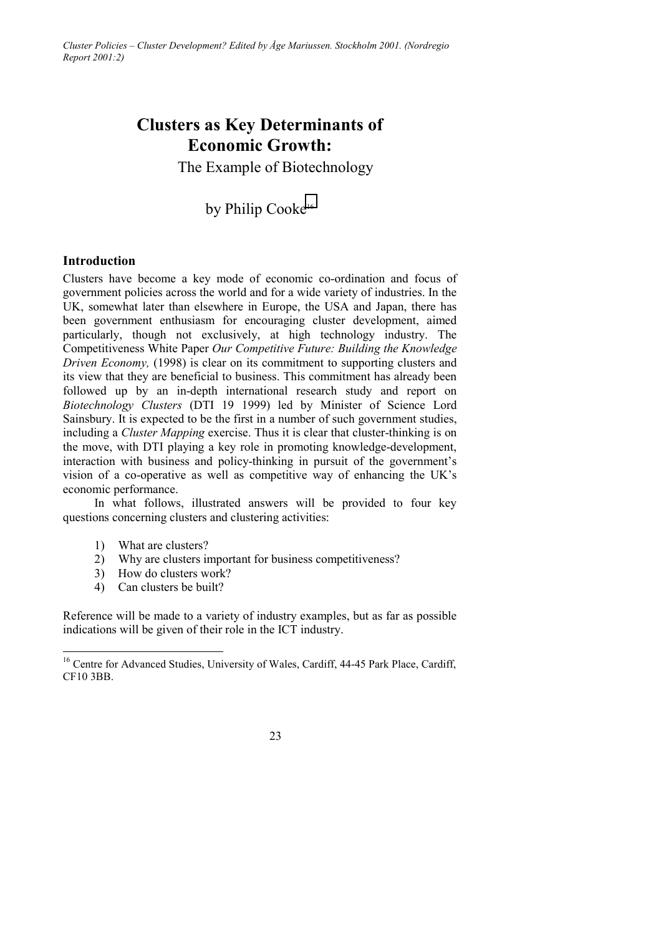# **Clusters as Key Determinants of Economic Growth:**

The Example of Biotechnology

by Philip Cooke<sup>16</sup>

## **Introduction**

Clusters have become a key mode of economic co-ordination and focus of government policies across the world and for a wide variety of industries. In the UK, somewhat later than elsewhere in Europe, the USA and Japan, there has been government enthusiasm for encouraging cluster development, aimed particularly, though not exclusively, at high technology industry. The Competitiveness White Paper *Our Competitive Future: Building the Knowledge Driven Economy,* (1998) is clear on its commitment to supporting clusters and its view that they are beneficial to business. This commitment has already been followed up by an in-depth international research study and report on *Biotechnology Clusters* (DTI 19 1999) led by Minister of Science Lord Sainsbury. It is expected to be the first in a number of such government studies, including a *Cluster Mapping* exercise. Thus it is clear that cluster-thinking is on the move, with DTI playing a key role in promoting knowledge-development, interaction with business and policy-thinking in pursuit of the government's vision of a co-operative as well as competitive way of enhancing the UK's economic performance.

In what follows, illustrated answers will be provided to four key questions concerning clusters and clustering activities:

- 1) What are clusters?
- 2) Why are clusters important for business competitiveness?
- 3) How do clusters work?
- 4) Can clusters be built?

Reference will be made to a variety of industry examples, but as far as possible indications will be given of their role in the ICT industry.

 $\overline{a}$ <sup>16</sup> Centre for Advanced Studies, University of Wales, Cardiff, 44-45 Park Place, Cardiff, CF10 3BB.

 <sup>23</sup>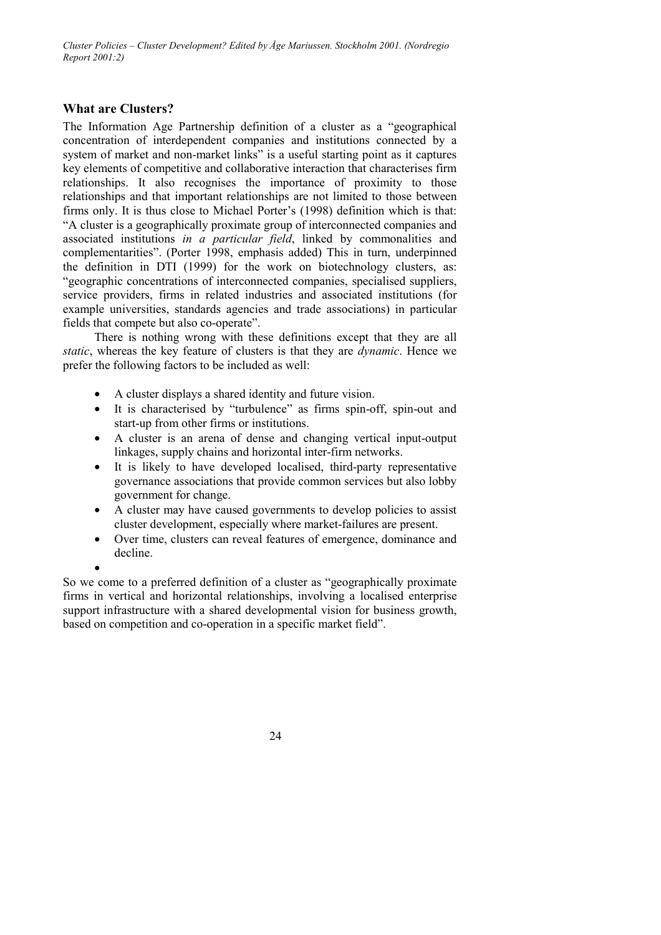### **What are Clusters?**

The Information Age Partnership definition of a cluster as a "geographical concentration of interdependent companies and institutions connected by a system of market and non-market links" is a useful starting point as it captures key elements of competitive and collaborative interaction that characterises firm relationships. It also recognises the importance of proximity to those relationships and that important relationships are not limited to those between firms only. It is thus close to Michael Porter's (1998) definition which is that: "A cluster is a geographically proximate group of interconnected companies and associated institutions *in a particular field*, linked by commonalities and complementarities". (Porter 1998, emphasis added) This in turn, underpinned the definition in DTI (1999) for the work on biotechnology clusters, as: "geographic concentrations of interconnected companies, specialised suppliers, service providers, firms in related industries and associated institutions (for example universities, standards agencies and trade associations) in particular fields that compete but also co-operate".

There is nothing wrong with these definitions except that they are all *static*, whereas the key feature of clusters is that they are *dynamic*. Hence we prefer the following factors to be included as well:

- A cluster displays a shared identity and future vision.
- It is characterised by "turbulence" as firms spin-off, spin-out and start-up from other firms or institutions.
- A cluster is an arena of dense and changing vertical input-output linkages, supply chains and horizontal inter-firm networks.
- It is likely to have developed localised, third-party representative governance associations that provide common services but also lobby government for change.
- A cluster may have caused governments to develop policies to assist cluster development, especially where market-failures are present.
- Over time, clusters can reveal features of emergence, dominance and decline.

•

So we come to a preferred definition of a cluster as "geographically proximate firms in vertical and horizontal relationships, involving a localised enterprise support infrastructure with a shared developmental vision for business growth, based on competition and co-operation in a specific market field".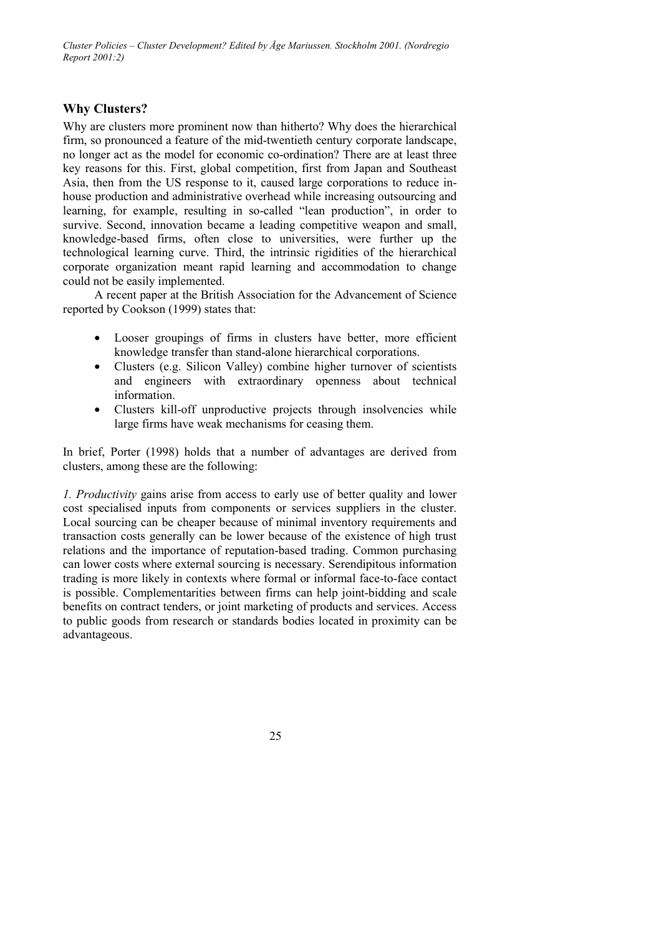## **Why Clusters?**

Why are clusters more prominent now than hitherto? Why does the hierarchical firm, so pronounced a feature of the mid-twentieth century corporate landscape, no longer act as the model for economic co-ordination? There are at least three key reasons for this. First, global competition, first from Japan and Southeast Asia, then from the US response to it, caused large corporations to reduce inhouse production and administrative overhead while increasing outsourcing and learning, for example, resulting in so-called "lean production", in order to survive. Second, innovation became a leading competitive weapon and small, knowledge-based firms, often close to universities, were further up the technological learning curve. Third, the intrinsic rigidities of the hierarchical corporate organization meant rapid learning and accommodation to change could not be easily implemented.

A recent paper at the British Association for the Advancement of Science reported by Cookson (1999) states that:

- Looser groupings of firms in clusters have better, more efficient knowledge transfer than stand-alone hierarchical corporations.
- Clusters (e.g. Silicon Valley) combine higher turnover of scientists and engineers with extraordinary openness about technical information.
- Clusters kill-off unproductive projects through insolvencies while large firms have weak mechanisms for ceasing them.

In brief, Porter (1998) holds that a number of advantages are derived from clusters, among these are the following:

*1. Productivity* gains arise from access to early use of better quality and lower cost specialised inputs from components or services suppliers in the cluster. Local sourcing can be cheaper because of minimal inventory requirements and transaction costs generally can be lower because of the existence of high trust relations and the importance of reputation-based trading. Common purchasing can lower costs where external sourcing is necessary. Serendipitous information trading is more likely in contexts where formal or informal face-to-face contact is possible. Complementarities between firms can help joint-bidding and scale benefits on contract tenders, or joint marketing of products and services. Access to public goods from research or standards bodies located in proximity can be advantageous.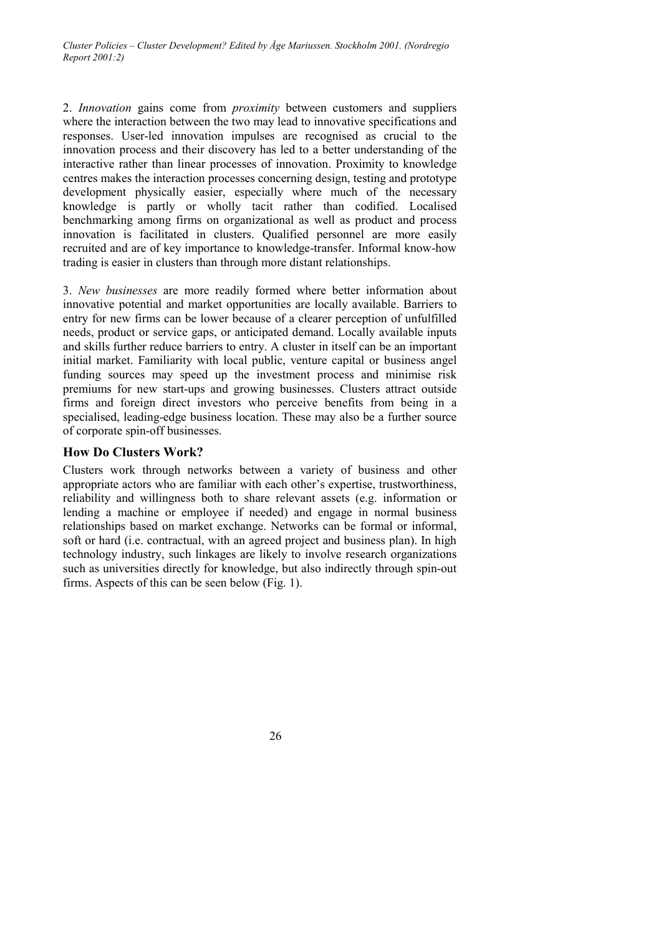2. *Innovation* gains come from *proximity* between customers and suppliers where the interaction between the two may lead to innovative specifications and responses. User-led innovation impulses are recognised as crucial to the innovation process and their discovery has led to a better understanding of the interactive rather than linear processes of innovation. Proximity to knowledge centres makes the interaction processes concerning design, testing and prototype development physically easier, especially where much of the necessary knowledge is partly or wholly tacit rather than codified. Localised benchmarking among firms on organizational as well as product and process innovation is facilitated in clusters. Qualified personnel are more easily recruited and are of key importance to knowledge-transfer. Informal know-how trading is easier in clusters than through more distant relationships.

3. *New businesses* are more readily formed where better information about innovative potential and market opportunities are locally available. Barriers to entry for new firms can be lower because of a clearer perception of unfulfilled needs, product or service gaps, or anticipated demand. Locally available inputs and skills further reduce barriers to entry. A cluster in itself can be an important initial market. Familiarity with local public, venture capital or business angel funding sources may speed up the investment process and minimise risk premiums for new start-ups and growing businesses. Clusters attract outside firms and foreign direct investors who perceive benefits from being in a specialised, leading-edge business location. These may also be a further source of corporate spin-off businesses.

## **How Do Clusters Work?**

Clusters work through networks between a variety of business and other appropriate actors who are familiar with each other's expertise, trustworthiness, reliability and willingness both to share relevant assets (e.g. information or lending a machine or employee if needed) and engage in normal business relationships based on market exchange. Networks can be formal or informal, soft or hard (i.e. contractual, with an agreed project and business plan). In high technology industry, such linkages are likely to involve research organizations such as universities directly for knowledge, but also indirectly through spin-out firms. Aspects of this can be seen below (Fig. 1).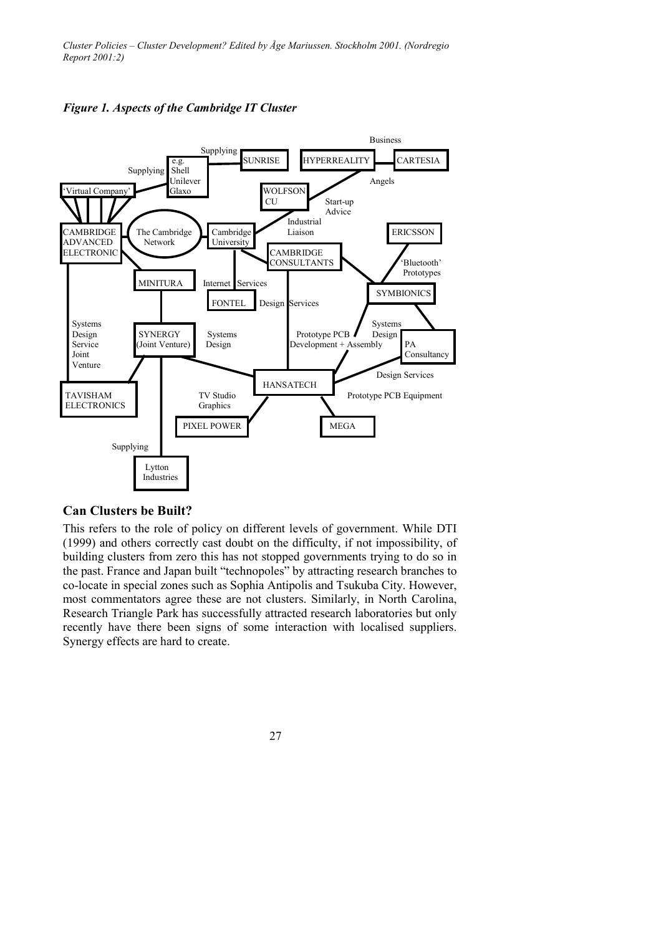

#### *Figure 1. Aspects of the Cambridge IT Cluster*

#### **Can Clusters be Built?**

This refers to the role of policy on different levels of government. While DTI (1999) and others correctly cast doubt on the difficulty, if not impossibility, of building clusters from zero this has not stopped governments trying to do so in the past. France and Japan built "technopoles" by attracting research branches to co-locate in special zones such as Sophia Antipolis and Tsukuba City. However, most commentators agree these are not clusters. Similarly, in North Carolina, Research Triangle Park has successfully attracted research laboratories but only recently have there been signs of some interaction with localised suppliers. Synergy effects are hard to create.

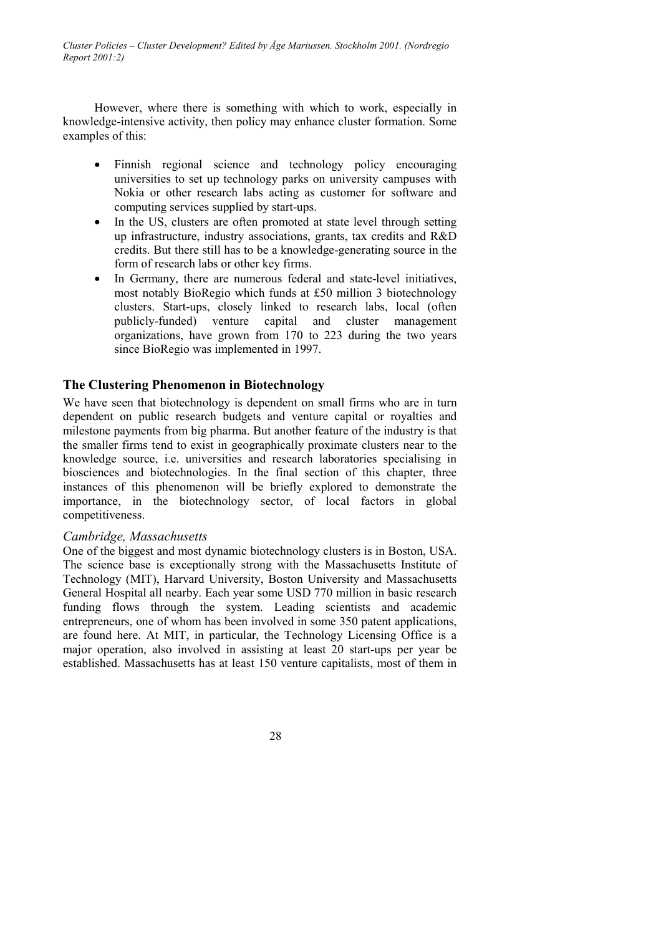However, where there is something with which to work, especially in knowledge-intensive activity, then policy may enhance cluster formation. Some examples of this:

- Finnish regional science and technology policy encouraging universities to set up technology parks on university campuses with Nokia or other research labs acting as customer for software and computing services supplied by start-ups.
- In the US, clusters are often promoted at state level through setting up infrastructure, industry associations, grants, tax credits and R&D credits. But there still has to be a knowledge-generating source in the form of research labs or other key firms.
- In Germany, there are numerous federal and state-level initiatives, most notably BioRegio which funds at £50 million 3 biotechnology clusters. Start-ups, closely linked to research labs, local (often publicly-funded) venture capital and cluster management organizations, have grown from 170 to 223 during the two years since BioRegio was implemented in 1997.

#### **The Clustering Phenomenon in Biotechnology**

We have seen that biotechnology is dependent on small firms who are in turn dependent on public research budgets and venture capital or royalties and milestone payments from big pharma. But another feature of the industry is that the smaller firms tend to exist in geographically proximate clusters near to the knowledge source, i.e. universities and research laboratories specialising in biosciences and biotechnologies. In the final section of this chapter, three instances of this phenomenon will be briefly explored to demonstrate the importance, in the biotechnology sector, of local factors in global competitiveness.

#### *Cambridge, Massachusetts*

One of the biggest and most dynamic biotechnology clusters is in Boston, USA. The science base is exceptionally strong with the Massachusetts Institute of Technology (MIT), Harvard University, Boston University and Massachusetts General Hospital all nearby. Each year some USD 770 million in basic research funding flows through the system. Leading scientists and academic entrepreneurs, one of whom has been involved in some 350 patent applications, are found here. At MIT, in particular, the Technology Licensing Office is a major operation, also involved in assisting at least 20 start-ups per year be established. Massachusetts has at least 150 venture capitalists, most of them in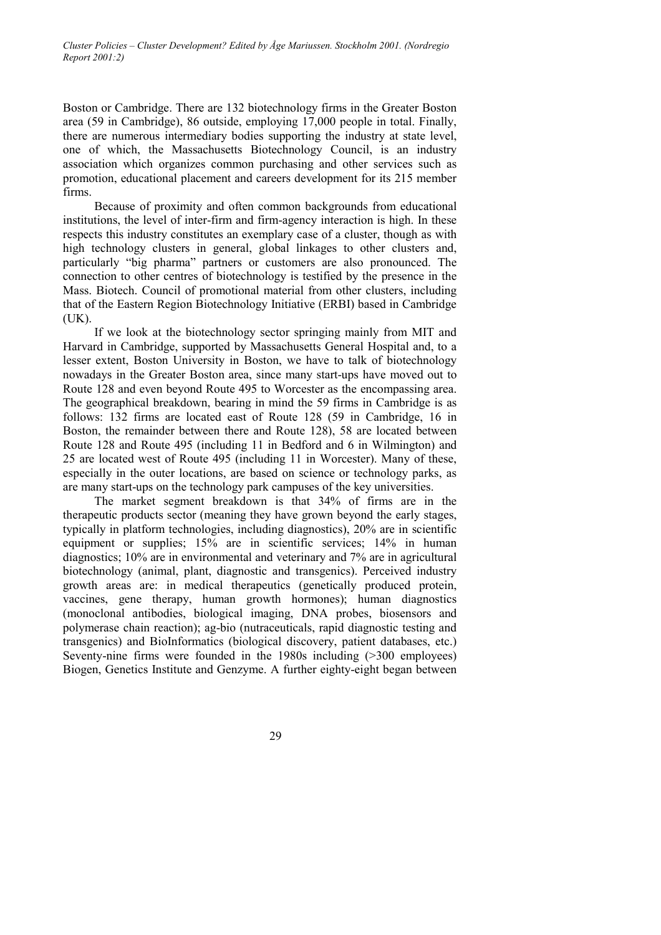Boston or Cambridge. There are 132 biotechnology firms in the Greater Boston area (59 in Cambridge), 86 outside, employing 17,000 people in total. Finally, there are numerous intermediary bodies supporting the industry at state level, one of which, the Massachusetts Biotechnology Council, is an industry association which organizes common purchasing and other services such as promotion, educational placement and careers development for its 215 member firms.

Because of proximity and often common backgrounds from educational institutions, the level of inter-firm and firm-agency interaction is high. In these respects this industry constitutes an exemplary case of a cluster, though as with high technology clusters in general, global linkages to other clusters and, particularly "big pharma" partners or customers are also pronounced. The connection to other centres of biotechnology is testified by the presence in the Mass. Biotech. Council of promotional material from other clusters, including that of the Eastern Region Biotechnology Initiative (ERBI) based in Cambridge (UK).

If we look at the biotechnology sector springing mainly from MIT and Harvard in Cambridge, supported by Massachusetts General Hospital and, to a lesser extent, Boston University in Boston, we have to talk of biotechnology nowadays in the Greater Boston area, since many start-ups have moved out to Route 128 and even beyond Route 495 to Worcester as the encompassing area. The geographical breakdown, bearing in mind the 59 firms in Cambridge is as follows: 132 firms are located east of Route 128 (59 in Cambridge, 16 in Boston, the remainder between there and Route 128), 58 are located between Route 128 and Route 495 (including 11 in Bedford and 6 in Wilmington) and 25 are located west of Route 495 (including 11 in Worcester). Many of these, especially in the outer locations, are based on science or technology parks, as are many start-ups on the technology park campuses of the key universities.

The market segment breakdown is that 34% of firms are in the therapeutic products sector (meaning they have grown beyond the early stages, typically in platform technologies, including diagnostics), 20% are in scientific equipment or supplies; 15% are in scientific services; 14% in human diagnostics; 10% are in environmental and veterinary and 7% are in agricultural biotechnology (animal, plant, diagnostic and transgenics). Perceived industry growth areas are: in medical therapeutics (genetically produced protein, vaccines, gene therapy, human growth hormones); human diagnostics (monoclonal antibodies, biological imaging, DNA probes, biosensors and polymerase chain reaction); ag-bio (nutraceuticals, rapid diagnostic testing and transgenics) and BioInformatics (biological discovery, patient databases, etc.) Seventy-nine firms were founded in the 1980s including (>300 employees) Biogen, Genetics Institute and Genzyme. A further eighty-eight began between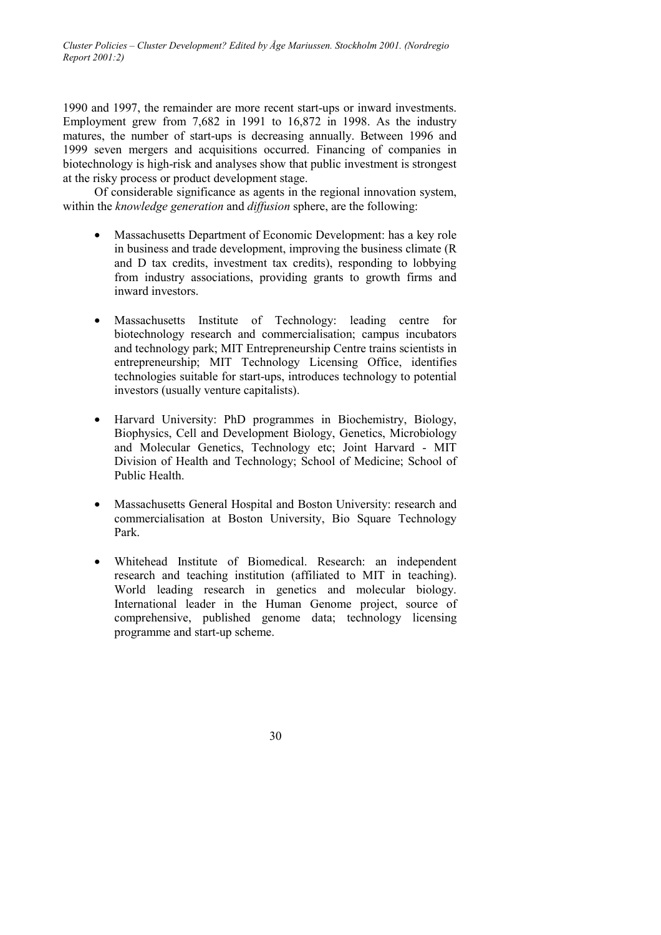1990 and 1997, the remainder are more recent start-ups or inward investments. Employment grew from 7,682 in 1991 to 16,872 in 1998. As the industry matures, the number of start-ups is decreasing annually. Between 1996 and 1999 seven mergers and acquisitions occurred. Financing of companies in biotechnology is high-risk and analyses show that public investment is strongest at the risky process or product development stage.

Of considerable significance as agents in the regional innovation system, within the *knowledge generation* and *diffusion* sphere, are the following:

- Massachusetts Department of Economic Development: has a key role in business and trade development, improving the business climate (R and D tax credits, investment tax credits), responding to lobbying from industry associations, providing grants to growth firms and inward investors.
- Massachusetts Institute of Technology: leading centre for biotechnology research and commercialisation; campus incubators and technology park; MIT Entrepreneurship Centre trains scientists in entrepreneurship; MIT Technology Licensing Office, identifies technologies suitable for start-ups, introduces technology to potential investors (usually venture capitalists).
- Harvard University: PhD programmes in Biochemistry, Biology, Biophysics, Cell and Development Biology, Genetics, Microbiology and Molecular Genetics, Technology etc; Joint Harvard - MIT Division of Health and Technology; School of Medicine; School of Public Health.
- Massachusetts General Hospital and Boston University: research and commercialisation at Boston University, Bio Square Technology Park.
- Whitehead Institute of Biomedical. Research: an independent research and teaching institution (affiliated to MIT in teaching). World leading research in genetics and molecular biology. International leader in the Human Genome project, source of comprehensive, published genome data; technology licensing programme and start-up scheme.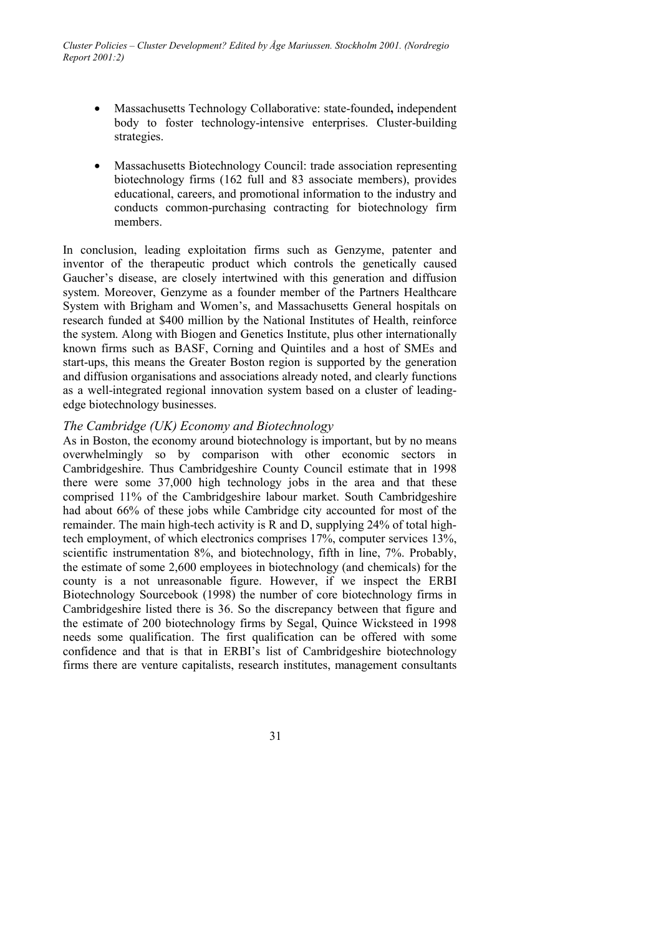- Massachusetts Technology Collaborative: state-founded**,** independent body to foster technology-intensive enterprises. Cluster-building strategies.
- Massachusetts Biotechnology Council: trade association representing biotechnology firms (162 full and 83 associate members), provides educational, careers, and promotional information to the industry and conducts common-purchasing contracting for biotechnology firm members.

In conclusion, leading exploitation firms such as Genzyme, patenter and inventor of the therapeutic product which controls the genetically caused Gaucher's disease, are closely intertwined with this generation and diffusion system. Moreover, Genzyme as a founder member of the Partners Healthcare System with Brigham and Women's, and Massachusetts General hospitals on research funded at \$400 million by the National Institutes of Health, reinforce the system. Along with Biogen and Genetics Institute, plus other internationally known firms such as BASF, Corning and Quintiles and a host of SMEs and start-ups, this means the Greater Boston region is supported by the generation and diffusion organisations and associations already noted, and clearly functions as a well-integrated regional innovation system based on a cluster of leadingedge biotechnology businesses.

#### *The Cambridge (UK) Economy and Biotechnology*

As in Boston, the economy around biotechnology is important, but by no means overwhelmingly so by comparison with other economic sectors in Cambridgeshire. Thus Cambridgeshire County Council estimate that in 1998 there were some 37,000 high technology jobs in the area and that these comprised 11% of the Cambridgeshire labour market. South Cambridgeshire had about 66% of these jobs while Cambridge city accounted for most of the remainder. The main high-tech activity is R and D, supplying 24% of total hightech employment, of which electronics comprises 17%, computer services 13%, scientific instrumentation 8%, and biotechnology, fifth in line, 7%. Probably, the estimate of some 2,600 employees in biotechnology (and chemicals) for the county is a not unreasonable figure. However, if we inspect the ERBI Biotechnology Sourcebook (1998) the number of core biotechnology firms in Cambridgeshire listed there is 36. So the discrepancy between that figure and the estimate of 200 biotechnology firms by Segal, Quince Wicksteed in 1998 needs some qualification. The first qualification can be offered with some confidence and that is that in ERBI's list of Cambridgeshire biotechnology firms there are venture capitalists, research institutes, management consultants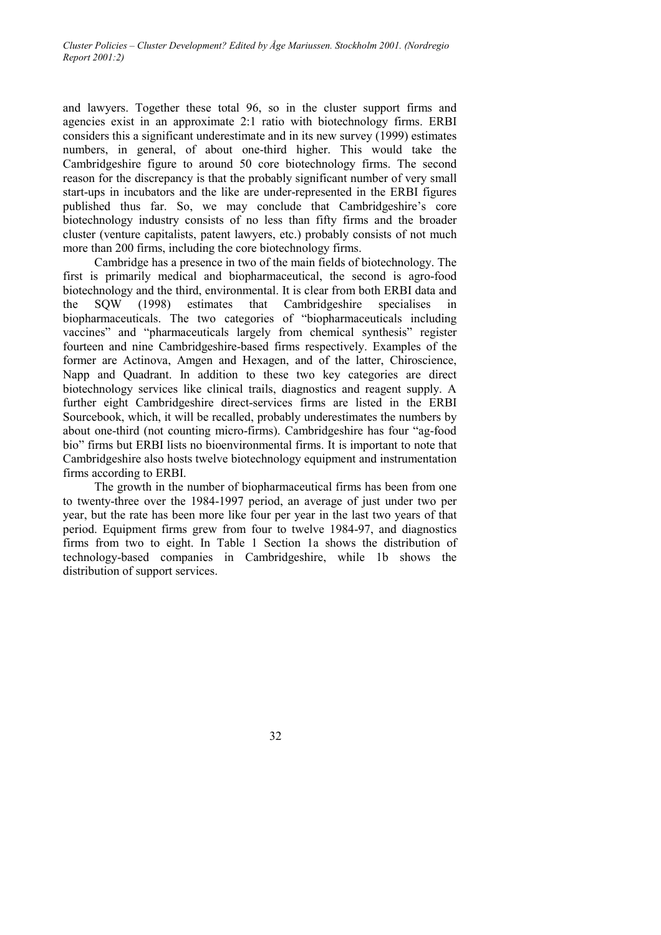and lawyers. Together these total 96, so in the cluster support firms and agencies exist in an approximate 2:1 ratio with biotechnology firms. ERBI considers this a significant underestimate and in its new survey (1999) estimates numbers, in general, of about one-third higher. This would take the Cambridgeshire figure to around 50 core biotechnology firms. The second reason for the discrepancy is that the probably significant number of very small start-ups in incubators and the like are under-represented in the ERBI figures published thus far. So, we may conclude that Cambridgeshire's core biotechnology industry consists of no less than fifty firms and the broader cluster (venture capitalists, patent lawyers, etc.) probably consists of not much more than 200 firms, including the core biotechnology firms.

Cambridge has a presence in two of the main fields of biotechnology. The first is primarily medical and biopharmaceutical, the second is agro-food biotechnology and the third, environmental. It is clear from both ERBI data and the SQW (1998) estimates that Cambridgeshire specialises in biopharmaceuticals. The two categories of "biopharmaceuticals including vaccines" and "pharmaceuticals largely from chemical synthesis" register fourteen and nine Cambridgeshire-based firms respectively. Examples of the former are Actinova, Amgen and Hexagen, and of the latter, Chiroscience, Napp and Quadrant. In addition to these two key categories are direct biotechnology services like clinical trails, diagnostics and reagent supply. A further eight Cambridgeshire direct-services firms are listed in the ERBI Sourcebook, which, it will be recalled, probably underestimates the numbers by about one-third (not counting micro-firms). Cambridgeshire has four "ag-food bio" firms but ERBI lists no bioenvironmental firms. It is important to note that Cambridgeshire also hosts twelve biotechnology equipment and instrumentation firms according to ERBI.

The growth in the number of biopharmaceutical firms has been from one to twenty-three over the 1984-1997 period, an average of just under two per year, but the rate has been more like four per year in the last two years of that period. Equipment firms grew from four to twelve 1984-97, and diagnostics firms from two to eight. In Table 1 Section 1a shows the distribution of technology-based companies in Cambridgeshire, while 1b shows the distribution of support services.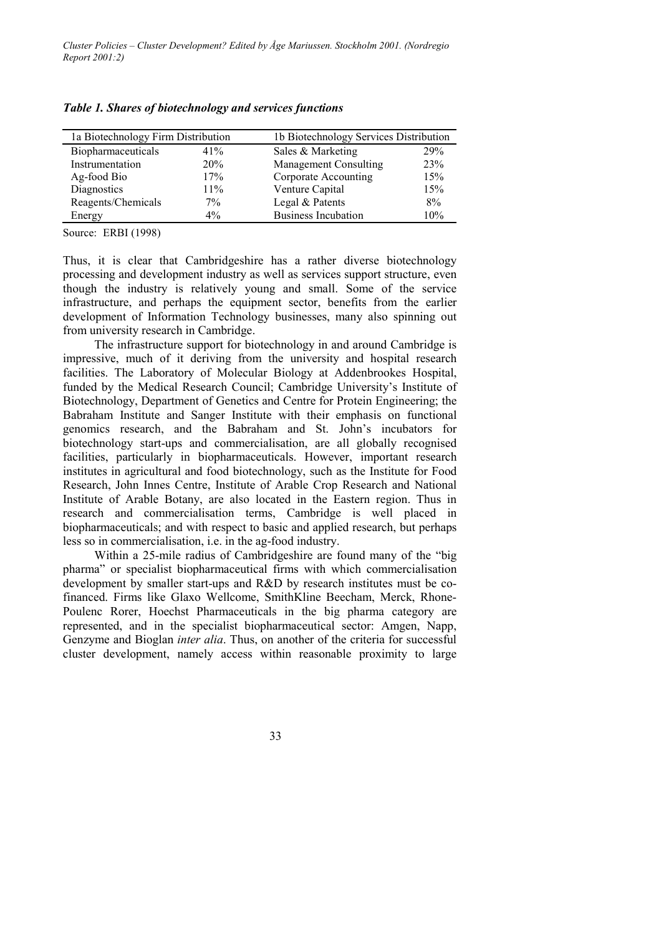| la Biotechnology Firm Distribution |       | 1b Biotechnology Services Distribution |     |
|------------------------------------|-------|----------------------------------------|-----|
| Biopharmaceuticals                 | 41%   | Sales & Marketing                      | 29% |
| Instrumentation                    | 20%   | <b>Management Consulting</b>           | 23% |
| Ag-food Bio                        | 17%   | Corporate Accounting                   | 15% |
| Diagnostics                        | 11%   | Venture Capital                        | 15% |
| Reagents/Chemicals                 | $7\%$ | Legal & Patents                        | 8%  |
| Energy                             | $4\%$ | <b>Business Incubation</b>             | 10% |

*Table 1. Shares of biotechnology and services functions* 

Source: ERBI (1998)

Thus, it is clear that Cambridgeshire has a rather diverse biotechnology processing and development industry as well as services support structure, even though the industry is relatively young and small. Some of the service infrastructure, and perhaps the equipment sector, benefits from the earlier development of Information Technology businesses, many also spinning out from university research in Cambridge.

The infrastructure support for biotechnology in and around Cambridge is impressive, much of it deriving from the university and hospital research facilities. The Laboratory of Molecular Biology at Addenbrookes Hospital, funded by the Medical Research Council; Cambridge University's Institute of Biotechnology, Department of Genetics and Centre for Protein Engineering; the Babraham Institute and Sanger Institute with their emphasis on functional genomics research, and the Babraham and St. John's incubators for biotechnology start-ups and commercialisation, are all globally recognised facilities, particularly in biopharmaceuticals. However, important research institutes in agricultural and food biotechnology, such as the Institute for Food Research, John Innes Centre, Institute of Arable Crop Research and National Institute of Arable Botany, are also located in the Eastern region. Thus in research and commercialisation terms, Cambridge is well placed in biopharmaceuticals; and with respect to basic and applied research, but perhaps less so in commercialisation, i.e. in the ag-food industry.

Within a 25-mile radius of Cambridgeshire are found many of the "big pharma" or specialist biopharmaceutical firms with which commercialisation development by smaller start-ups and R&D by research institutes must be cofinanced. Firms like Glaxo Wellcome, SmithKline Beecham, Merck, Rhone-Poulenc Rorer, Hoechst Pharmaceuticals in the big pharma category are represented, and in the specialist biopharmaceutical sector: Amgen, Napp, Genzyme and Bioglan *inter alia*. Thus, on another of the criteria for successful cluster development, namely access within reasonable proximity to large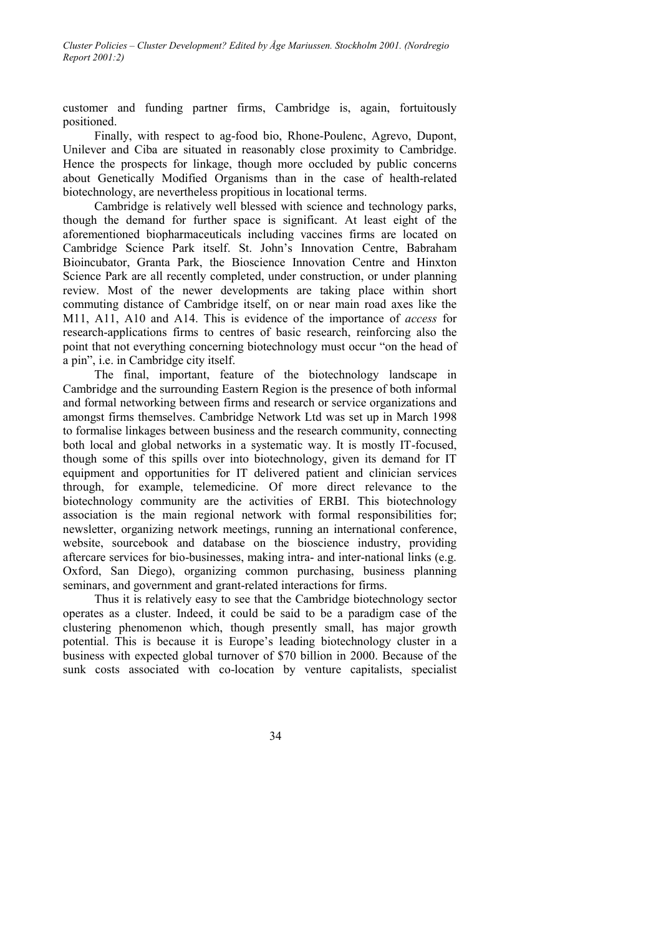customer and funding partner firms, Cambridge is, again, fortuitously positioned.

Finally, with respect to ag-food bio, Rhone-Poulenc, Agrevo, Dupont, Unilever and Ciba are situated in reasonably close proximity to Cambridge. Hence the prospects for linkage, though more occluded by public concerns about Genetically Modified Organisms than in the case of health-related biotechnology, are nevertheless propitious in locational terms.

Cambridge is relatively well blessed with science and technology parks, though the demand for further space is significant. At least eight of the aforementioned biopharmaceuticals including vaccines firms are located on Cambridge Science Park itself. St. John's Innovation Centre, Babraham Bioincubator, Granta Park, the Bioscience Innovation Centre and Hinxton Science Park are all recently completed, under construction, or under planning review. Most of the newer developments are taking place within short commuting distance of Cambridge itself, on or near main road axes like the M11, A11, A10 and A14. This is evidence of the importance of *access* for research-applications firms to centres of basic research, reinforcing also the point that not everything concerning biotechnology must occur "on the head of a pin", i.e. in Cambridge city itself.

The final, important, feature of the biotechnology landscape in Cambridge and the surrounding Eastern Region is the presence of both informal and formal networking between firms and research or service organizations and amongst firms themselves. Cambridge Network Ltd was set up in March 1998 to formalise linkages between business and the research community, connecting both local and global networks in a systematic way. It is mostly IT-focused, though some of this spills over into biotechnology, given its demand for IT equipment and opportunities for IT delivered patient and clinician services through, for example, telemedicine. Of more direct relevance to the biotechnology community are the activities of ERBI. This biotechnology association is the main regional network with formal responsibilities for; newsletter, organizing network meetings, running an international conference, website, sourcebook and database on the bioscience industry, providing aftercare services for bio-businesses, making intra- and inter-national links (e.g. Oxford, San Diego), organizing common purchasing, business planning seminars, and government and grant-related interactions for firms.

Thus it is relatively easy to see that the Cambridge biotechnology sector operates as a cluster. Indeed, it could be said to be a paradigm case of the clustering phenomenon which, though presently small, has major growth potential. This is because it is Europe's leading biotechnology cluster in a business with expected global turnover of \$70 billion in 2000. Because of the sunk costs associated with co-location by venture capitalists, specialist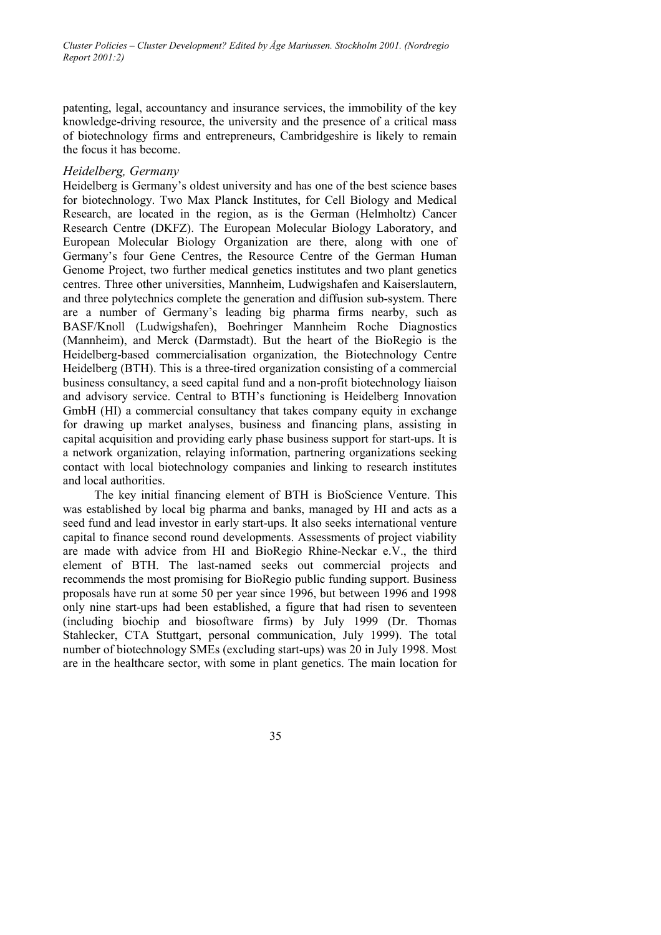patenting, legal, accountancy and insurance services, the immobility of the key knowledge-driving resource, the university and the presence of a critical mass of biotechnology firms and entrepreneurs, Cambridgeshire is likely to remain the focus it has become.

### *Heidelberg, Germany*

Heidelberg is Germany's oldest university and has one of the best science bases for biotechnology. Two Max Planck Institutes, for Cell Biology and Medical Research, are located in the region, as is the German (Helmholtz) Cancer Research Centre (DKFZ). The European Molecular Biology Laboratory, and European Molecular Biology Organization are there, along with one of Germany's four Gene Centres, the Resource Centre of the German Human Genome Project, two further medical genetics institutes and two plant genetics centres. Three other universities, Mannheim, Ludwigshafen and Kaiserslautern, and three polytechnics complete the generation and diffusion sub-system. There are a number of Germany's leading big pharma firms nearby, such as BASF/Knoll (Ludwigshafen), Boehringer Mannheim Roche Diagnostics (Mannheim), and Merck (Darmstadt). But the heart of the BioRegio is the Heidelberg-based commercialisation organization, the Biotechnology Centre Heidelberg (BTH). This is a three-tired organization consisting of a commercial business consultancy, a seed capital fund and a non-profit biotechnology liaison and advisory service. Central to BTH's functioning is Heidelberg Innovation GmbH (HI) a commercial consultancy that takes company equity in exchange for drawing up market analyses, business and financing plans, assisting in capital acquisition and providing early phase business support for start-ups. It is a network organization, relaying information, partnering organizations seeking contact with local biotechnology companies and linking to research institutes and local authorities.

The key initial financing element of BTH is BioScience Venture. This was established by local big pharma and banks, managed by HI and acts as a seed fund and lead investor in early start-ups. It also seeks international venture capital to finance second round developments. Assessments of project viability are made with advice from HI and BioRegio Rhine-Neckar e.V., the third element of BTH. The last-named seeks out commercial projects and recommends the most promising for BioRegio public funding support. Business proposals have run at some 50 per year since 1996, but between 1996 and 1998 only nine start-ups had been established, a figure that had risen to seventeen (including biochip and biosoftware firms) by July 1999 (Dr. Thomas Stahlecker, CTA Stuttgart, personal communication, July 1999). The total number of biotechnology SMEs (excluding start-ups) was 20 in July 1998. Most are in the healthcare sector, with some in plant genetics. The main location for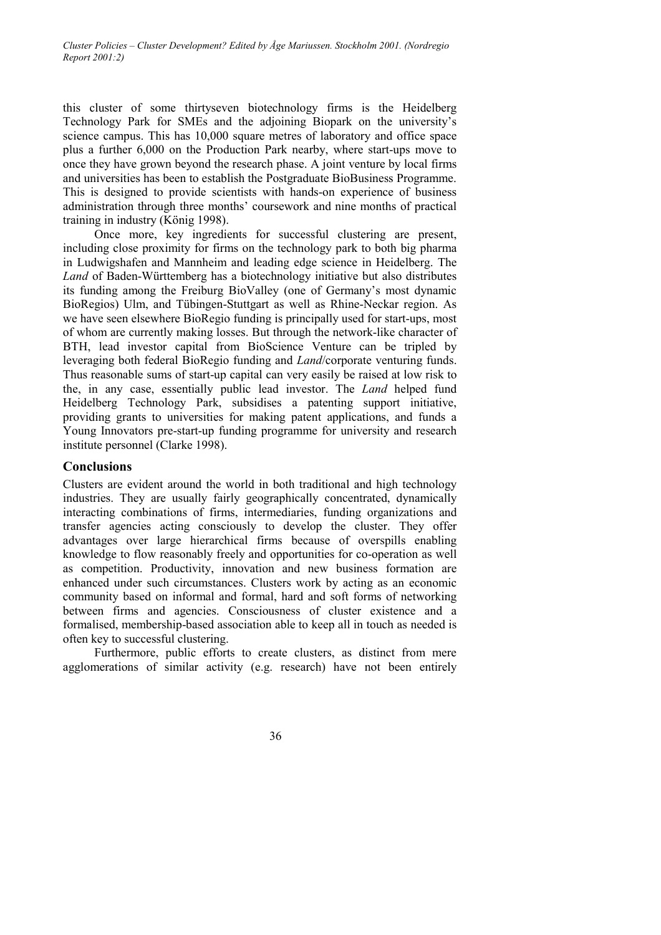this cluster of some thirtyseven biotechnology firms is the Heidelberg Technology Park for SMEs and the adjoining Biopark on the university's science campus. This has 10,000 square metres of laboratory and office space plus a further 6,000 on the Production Park nearby, where start-ups move to once they have grown beyond the research phase. A joint venture by local firms and universities has been to establish the Postgraduate BioBusiness Programme. This is designed to provide scientists with hands-on experience of business administration through three months' coursework and nine months of practical training in industry (König 1998).

Once more, key ingredients for successful clustering are present, including close proximity for firms on the technology park to both big pharma in Ludwigshafen and Mannheim and leading edge science in Heidelberg. The *Land* of Baden-Württemberg has a biotechnology initiative but also distributes its funding among the Freiburg BioValley (one of Germany's most dynamic BioRegios) Ulm, and Tübingen-Stuttgart as well as Rhine-Neckar region. As we have seen elsewhere BioRegio funding is principally used for start-ups, most of whom are currently making losses. But through the network-like character of BTH, lead investor capital from BioScience Venture can be tripled by leveraging both federal BioRegio funding and *Land*/corporate venturing funds. Thus reasonable sums of start-up capital can very easily be raised at low risk to the, in any case, essentially public lead investor. The *Land* helped fund Heidelberg Technology Park, subsidises a patenting support initiative, providing grants to universities for making patent applications, and funds a Young Innovators pre-start-up funding programme for university and research institute personnel (Clarke 1998).

### **Conclusions**

Clusters are evident around the world in both traditional and high technology industries. They are usually fairly geographically concentrated, dynamically interacting combinations of firms, intermediaries, funding organizations and transfer agencies acting consciously to develop the cluster. They offer advantages over large hierarchical firms because of overspills enabling knowledge to flow reasonably freely and opportunities for co-operation as well as competition. Productivity, innovation and new business formation are enhanced under such circumstances. Clusters work by acting as an economic community based on informal and formal, hard and soft forms of networking between firms and agencies. Consciousness of cluster existence and a formalised, membership-based association able to keep all in touch as needed is often key to successful clustering.

Furthermore, public efforts to create clusters, as distinct from mere agglomerations of similar activity (e.g. research) have not been entirely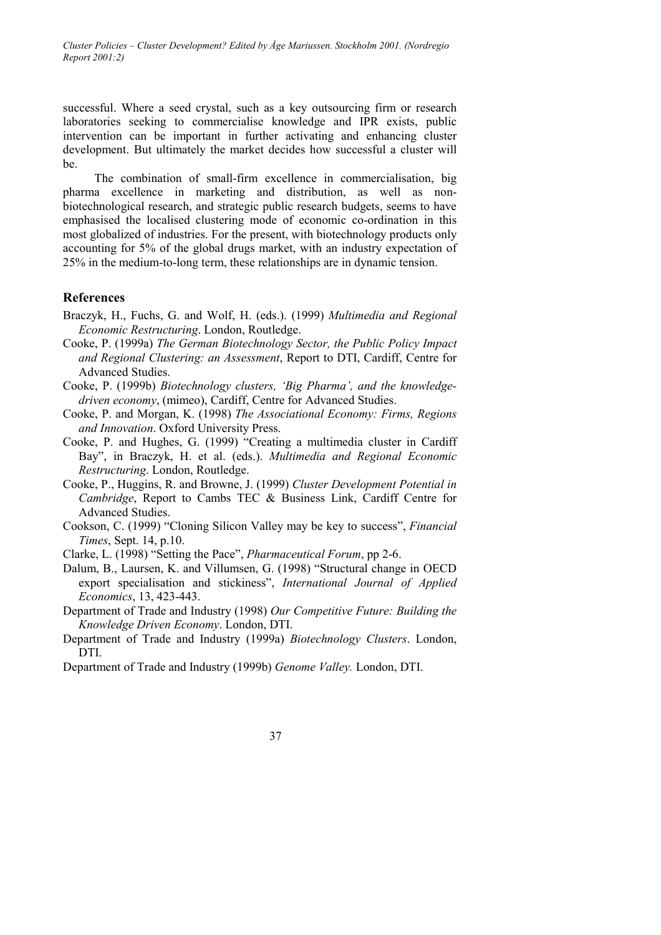successful. Where a seed crystal, such as a key outsourcing firm or research laboratories seeking to commercialise knowledge and IPR exists, public intervention can be important in further activating and enhancing cluster development. But ultimately the market decides how successful a cluster will be.

The combination of small-firm excellence in commercialisation, big pharma excellence in marketing and distribution, as well as nonbiotechnological research, and strategic public research budgets, seems to have emphasised the localised clustering mode of economic co-ordination in this most globalized of industries. For the present, with biotechnology products only accounting for 5% of the global drugs market, with an industry expectation of 25% in the medium-to-long term, these relationships are in dynamic tension.

#### **References**

- Braczyk, H., Fuchs, G. and Wolf, H. (eds.). (1999) *Multimedia and Regional Economic Restructuring*. London, Routledge.
- Cooke, P. (1999a) *The German Biotechnology Sector, the Public Policy Impact and Regional Clustering: an Assessment*, Report to DTI, Cardiff, Centre for Advanced Studies.
- Cooke, P. (1999b) *Biotechnology clusters, 'Big Pharma', and the knowledgedriven economy*, (mimeo), Cardiff, Centre for Advanced Studies.
- Cooke, P. and Morgan, K. (1998) *The Associational Economy: Firms, Regions and Innovation*. Oxford University Press.
- Cooke, P. and Hughes, G. (1999) "Creating a multimedia cluster in Cardiff Bay", in Braczyk, H. et al. (eds.). *Multimedia and Regional Economic Restructuring*. London, Routledge.
- Cooke, P., Huggins, R. and Browne, J. (1999) *Cluster Development Potential in Cambridge*, Report to Cambs TEC & Business Link, Cardiff Centre for Advanced Studies.
- Cookson, C. (1999) "Cloning Silicon Valley may be key to success", *Financial Times*, Sept. 14, p.10.
- Clarke, L. (1998) "Setting the Pace", *Pharmaceutical Forum*, pp 2-6.
- Dalum, B., Laursen, K. and Villumsen, G. (1998) "Structural change in OECD export specialisation and stickiness", *International Journal of Applied Economics*, 13, 423-443.
- Department of Trade and Industry (1998) *Our Competitive Future: Building the Knowledge Driven Economy*. London, DTI.
- Department of Trade and Industry (1999a) *Biotechnology Clusters*. London, DTI.
- Department of Trade and Industry (1999b) *Genome Valley.* London, DTI.